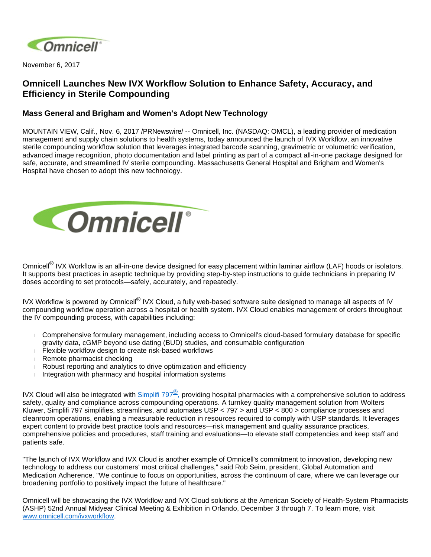

November 6, 2017

## **Omnicell Launches New IVX Workflow Solution to Enhance Safety, Accuracy, and Efficiency in Sterile Compounding**

## **Mass General and Brigham and Women's Adopt New Technology**

MOUNTAIN VIEW, Calif., Nov. 6, 2017 /PRNewswire/ -- Omnicell, Inc. (NASDAQ: OMCL), a leading provider of medication management and supply chain solutions to health systems, today announced the launch of IVX Workflow, an innovative sterile compounding workflow solution that leverages integrated barcode scanning, gravimetric or volumetric verification, advanced image recognition, photo documentation and label printing as part of a compact all-in-one package designed for safe, accurate, and streamlined IV sterile compounding. Massachusetts General Hospital and Brigham and Women's Hospital have chosen to adopt this new technology.



Omnicell<sup>®</sup> IVX Workflow is an all-in-one device designed for easy placement within laminar airflow (LAF) hoods or isolators. It supports best practices in aseptic technique by providing step-by-step instructions to guide technicians in preparing IV doses according to set protocols—safely, accurately, and repeatedly.

IVX Workflow is powered by Omnicell<sup>®</sup> IVX Cloud, a fully web-based software suite designed to manage all aspects of IV compounding workflow operation across a hospital or health system. IVX Cloud enables management of orders throughout the IV compounding process, with capabilities including:

- Comprehensive formulary management, including access to Omnicell's cloud-based formulary database for specific gravity data, cGMP beyond use dating (BUD) studies, and consumable configuration
- Flexible workflow design to create risk-based workflows
- Remote pharmacist checking
- Robust reporting and analytics to drive optimization and efficiency
- $\parallel$  Integration with pharmacy and hospital information systems

IVX Cloud will also be integrated with  $\frac{\text{Simplif}}{797}$  providing hospital pharmacies with a comprehensive solution to address safety, quality and compliance across compounding operations. A turnkey quality management solution from Wolters Kluwer, Simplifi 797 simplifies, streamlines, and automates USP < 797 > and USP < 800 > compliance processes and cleanroom operations, enabling a measurable reduction in resources required to comply with USP standards. It leverages expert content to provide best practice tools and resources—risk management and quality assurance practices, comprehensive policies and procedures, staff training and evaluations—to elevate staff competencies and keep staff and patients safe.

"The launch of IVX Workflow and IVX Cloud is another example of Omnicell's commitment to innovation, developing new technology to address our customers' most critical challenges," said Rob Seim, president, Global Automation and Medication Adherence. "We continue to focus on opportunities, across the continuum of care, where we can leverage our broadening portfolio to positively impact the future of healthcare."

Omnicell will be showcasing the IVX Workflow and IVX Cloud solutions at the American Society of Health-System Pharmacists (ASHP) 52nd Annual Midyear Clinical Meeting & Exhibition in Orlando, December 3 through 7. To learn more, visit [www.omnicell.com/ivxworkflow.](http://www.omnicell.com/ivxworkflow)